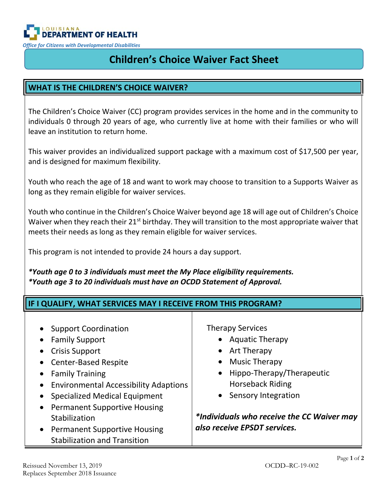

# **Children's Choice Waiver Fact Sheet**

# **WHAT IS THE CHILDREN'S CHOICE WAIVER?**

The Children's Choice Waiver (CC) program provides services in the home and in the community to individuals 0 through 20 years of age, who currently live at home with their families or who will leave an institution to return home.

This waiver provides an individualized support package with a maximum cost of \$17,500 per year, and is designed for maximum flexibility.

Youth who reach the age of 18 and want to work may choose to transition to a Supports Waiver as long as they remain eligible for waiver services.

Youth who continue in the Children's Choice Waiver beyond age 18 will age out of Children's Choice Waiver when they reach their  $21^{st}$  birthday. They will transition to the most appropriate waiver that meets their needs as long as they remain eligible for waiver services.

This program is not intended to provide 24 hours a day support.

*\*Youth age 0 to 3 individuals must meet the My Place eligibility requirements. \*Youth age 3 to 20 individuals must have an OCDD Statement of Approval.*

| IF I QUALIFY, WHAT SERVICES MAY I RECEIVE FROM THIS PROGRAM?                                                                                                                                                                                                                                                                                                                              |                                                                                                                                                                                                                                                   |
|-------------------------------------------------------------------------------------------------------------------------------------------------------------------------------------------------------------------------------------------------------------------------------------------------------------------------------------------------------------------------------------------|---------------------------------------------------------------------------------------------------------------------------------------------------------------------------------------------------------------------------------------------------|
| <b>Support Coordination</b><br><b>Family Support</b><br><b>Crisis Support</b><br><b>Center-Based Respite</b><br><b>Family Training</b><br><b>Environmental Accessibility Adaptions</b><br>$\bullet$<br><b>Specialized Medical Equipment</b><br><b>Permanent Supportive Housing</b><br>$\bullet$<br>Stabilization<br>• Permanent Supportive Housing<br><b>Stabilization and Transition</b> | <b>Therapy Services</b><br>• Aquatic Therapy<br>• Art Therapy<br>• Music Therapy<br>• Hippo-Therapy/Therapeutic<br><b>Horseback Riding</b><br>• Sensory Integration<br>*Individuals who receive the CC Waiver may<br>also receive EPSDT services. |